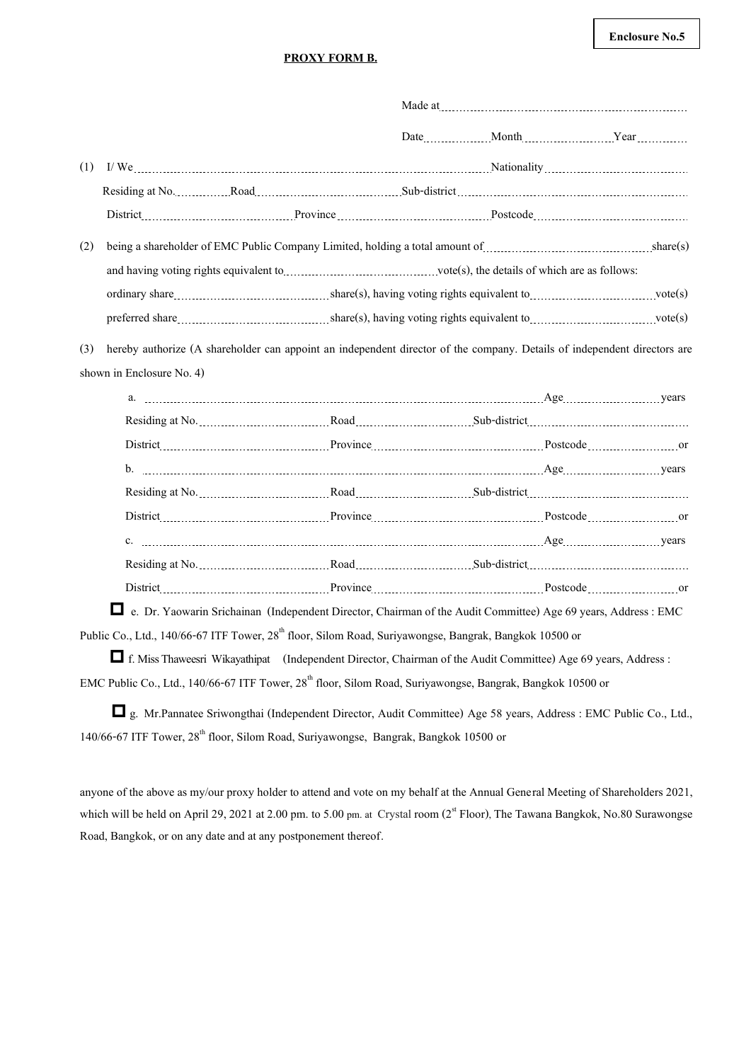## **Enclosure No.5**

## **PROXY FORM B.**

|     |                           |                                                                                                                                                                                                                                |  |  |  |  | Made at 2000 million and 2000 million and 2000 million and 2000 million and 2000 million and 2000 million and 2000 million and 2000 million and 2000 million and 2000 million and 2000 million and 2000 million and 2000 milli |
|-----|---------------------------|--------------------------------------------------------------------------------------------------------------------------------------------------------------------------------------------------------------------------------|--|--|--|--|--------------------------------------------------------------------------------------------------------------------------------------------------------------------------------------------------------------------------------|
|     |                           |                                                                                                                                                                                                                                |  |  |  |  | Date Month Month Year                                                                                                                                                                                                          |
| (1) |                           | I/We electron continuum continuum continuum continuum continuum continuum continuum continuum continuum continuum continuum continuum continuum continuum continuum continuum continuum continuum continuum continuum continuu |  |  |  |  |                                                                                                                                                                                                                                |
|     |                           |                                                                                                                                                                                                                                |  |  |  |  |                                                                                                                                                                                                                                |
|     |                           |                                                                                                                                                                                                                                |  |  |  |  |                                                                                                                                                                                                                                |
| (2) |                           | being a shareholder of EMC Public Company Limited, holding a total amount of <i>machinesim machinesis</i> share(s)                                                                                                             |  |  |  |  |                                                                                                                                                                                                                                |
|     |                           | and having voting rights equivalent to <i>manufacture and having vote(s)</i> , the details of which are as follows:                                                                                                            |  |  |  |  |                                                                                                                                                                                                                                |
|     |                           |                                                                                                                                                                                                                                |  |  |  |  |                                                                                                                                                                                                                                |
|     |                           |                                                                                                                                                                                                                                |  |  |  |  |                                                                                                                                                                                                                                |
| (3) | shown in Enclosure No. 4) | hereby authorize (A shareholder can appoint an independent director of the company. Details of independent directors are                                                                                                       |  |  |  |  |                                                                                                                                                                                                                                |
|     |                           |                                                                                                                                                                                                                                |  |  |  |  |                                                                                                                                                                                                                                |
|     |                           |                                                                                                                                                                                                                                |  |  |  |  |                                                                                                                                                                                                                                |
|     |                           |                                                                                                                                                                                                                                |  |  |  |  |                                                                                                                                                                                                                                |
|     |                           |                                                                                                                                                                                                                                |  |  |  |  |                                                                                                                                                                                                                                |
|     |                           |                                                                                                                                                                                                                                |  |  |  |  |                                                                                                                                                                                                                                |
|     |                           |                                                                                                                                                                                                                                |  |  |  |  |                                                                                                                                                                                                                                |
|     |                           |                                                                                                                                                                                                                                |  |  |  |  |                                                                                                                                                                                                                                |
|     |                           |                                                                                                                                                                                                                                |  |  |  |  |                                                                                                                                                                                                                                |

 e. Dr. Yaowarin Srichainan (Independent Director, Chairman of the Audit Committee) Age 69years, Address : EMC Public Co., Ltd., 140/66-67 ITF Tower, 28<sup>th</sup> floor, Silom Road, Suriyawongse, Bangrak, Bangkok 10500 or

 f.Miss Thaweesri Wikayathipat (Independent Director, Chairman of the Audit Committee) Age 69 years, Address : EMC Public Co., Ltd., 140/66-67 ITF Tower, 28<sup>th</sup> floor, Silom Road, Suriyawongse, Bangrak, Bangkok 10500 or

 g. Mr.Pannatee Sriwongthai (Independent Director, Audit Committee) Age 58 years, Address : EMC Public Co., Ltd., 140/66-67 ITF Tower,  $28<sup>th</sup>$  floor, Silom Road, Suriyawongse, Bangrak, Bangkok 10500 or

anyone of the above as my/our proxy holder to attend and vote on my behalf at the Annual General Meeting of Shareholders 2021, which will be held on April 29, 2021 at 2.00 pm. to 5.00 pm. at Crystal room  $(2^{st}$  Floor), The Tawana Bangkok, No.80 Surawongse Road, Bangkok, or on any date and at any postponement thereof.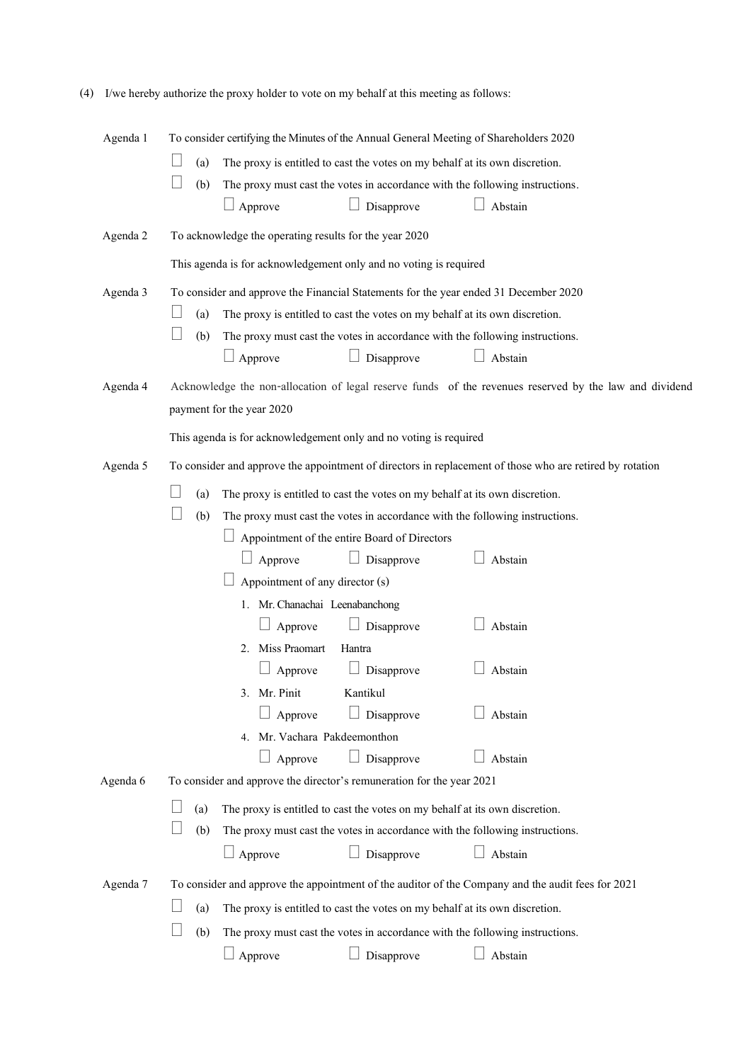| Agenda 1                                                                                                      | To consider certifying the Minutes of the Annual General Meeting of Shareholders 2020                    |  |
|---------------------------------------------------------------------------------------------------------------|----------------------------------------------------------------------------------------------------------|--|
|                                                                                                               | (a)<br>The proxy is entitled to cast the votes on my behalf at its own discretion.                       |  |
|                                                                                                               | (b)<br>The proxy must cast the votes in accordance with the following instructions.                      |  |
|                                                                                                               | Approve<br>Disapprove<br>Abstain                                                                         |  |
| Agenda 2                                                                                                      | To acknowledge the operating results for the year 2020                                                   |  |
|                                                                                                               | This agenda is for acknowledgement only and no voting is required                                        |  |
| Agenda 3                                                                                                      | To consider and approve the Financial Statements for the year ended 31 December 2020                     |  |
|                                                                                                               | (a)<br>The proxy is entitled to cast the votes on my behalf at its own discretion.                       |  |
|                                                                                                               | (b)<br>The proxy must cast the votes in accordance with the following instructions.                      |  |
|                                                                                                               | Approve<br>Disapprove<br>Abstain                                                                         |  |
| Agenda 4                                                                                                      | Acknowledge the non-allocation of legal reserve funds of the revenues reserved by the law and dividend   |  |
|                                                                                                               | payment for the year 2020                                                                                |  |
|                                                                                                               | This agenda is for acknowledgement only and no voting is required                                        |  |
| Agenda 5                                                                                                      | To consider and approve the appointment of directors in replacement of those who are retired by rotation |  |
|                                                                                                               | (a)<br>The proxy is entitled to cast the votes on my behalf at its own discretion.                       |  |
|                                                                                                               | (b)<br>The proxy must cast the votes in accordance with the following instructions.                      |  |
|                                                                                                               | Appointment of the entire Board of Directors                                                             |  |
|                                                                                                               | Disapprove<br>Approve<br>Abstain<br>ш                                                                    |  |
|                                                                                                               | Appointment of any director (s)                                                                          |  |
|                                                                                                               | 1. Mr. Chanachai Leenabanchong                                                                           |  |
|                                                                                                               | Disapprove<br>Approve<br>Abstain                                                                         |  |
|                                                                                                               | Miss Praomart<br>Hantra<br>2.                                                                            |  |
|                                                                                                               | Disapprove<br>Approve<br>Abstain                                                                         |  |
|                                                                                                               | 3. Mr. Pinit<br>Kantikul                                                                                 |  |
|                                                                                                               | Approve<br>Disapprove<br>Abstain                                                                         |  |
|                                                                                                               | 4. Mr. Vachara Pakdeemonthon                                                                             |  |
|                                                                                                               | Approve<br>Disapprove<br>Abstain                                                                         |  |
| Agenda 6                                                                                                      | To consider and approve the director's remuneration for the year 2021                                    |  |
|                                                                                                               | (a)<br>The proxy is entitled to cast the votes on my behalf at its own discretion.                       |  |
|                                                                                                               | (b)<br>The proxy must cast the votes in accordance with the following instructions.                      |  |
|                                                                                                               | Disapprove<br>$\Box$ Approve<br>Abstain                                                                  |  |
| To consider and approve the appointment of the auditor of the Company and the audit fees for 2021<br>Agenda 7 |                                                                                                          |  |
|                                                                                                               | The proxy is entitled to cast the votes on my behalf at its own discretion.<br>(a)                       |  |
|                                                                                                               | The proxy must cast the votes in accordance with the following instructions.<br>(b)                      |  |
|                                                                                                               | Approve<br>Abstain<br>Disapprove                                                                         |  |
|                                                                                                               |                                                                                                          |  |

|  |  | (4) I/we hereby authorize the proxy holder to vote on my behalf at this meeting as follows: |
|--|--|---------------------------------------------------------------------------------------------|
|  |  |                                                                                             |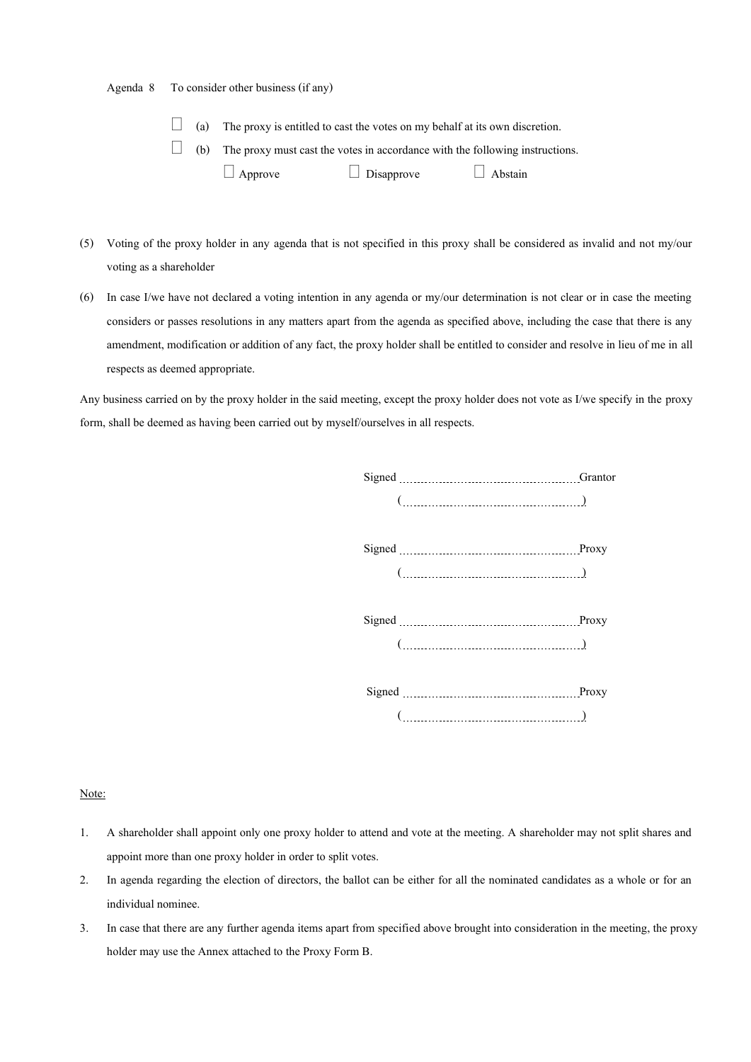| Agenda 8 | To consider other business (if any) |  |  |
|----------|-------------------------------------|--|--|
|          |                                     |  |  |

- $\Box$  (a) The proxy is entitled to cast the votes on my behalf at its own discretion.
- $\Box$  (b) The proxy must cast the votes in accordance with the following instructions.
	- $\Box$  Approve  $\Box$  Disapprove  $\Box$  Abstain
- (5) Voting of the proxy holder in any agenda that is not specified in this proxy shall be considered as invalid and not my/our voting as a shareholder
- (6) In case I/we have not declared a voting intention in any agenda or my/our determination is not clear or in case the meeting considers or passes resolutions in any matters apart from the agenda as specified above, including the case that there is any amendment, modification or addition of any fact, the proxy holder shall be entitled to consider and resolve in lieu of me in all respects as deemed appropriate.

Any business carried on by the proxy holder in the said meeting, except the proxy holder does not vote as I/we specify in the proxy form, shall be deemed as having been carried out by myself/ourselves in all respects.

| $(\ldots, \ldots, \ldots, \ldots, \ldots, \ldots, \ldots, \ldots)$                                                                                                                                                                                                                                                             |  |
|--------------------------------------------------------------------------------------------------------------------------------------------------------------------------------------------------------------------------------------------------------------------------------------------------------------------------------|--|
|                                                                                                                                                                                                                                                                                                                                |  |
|                                                                                                                                                                                                                                                                                                                                |  |
| $\begin{pmatrix} 0 & 0 & 0 & 0 \\ 0 & 0 & 0 & 0 \\ 0 & 0 & 0 & 0 \\ 0 & 0 & 0 & 0 \\ 0 & 0 & 0 & 0 \\ 0 & 0 & 0 & 0 \\ 0 & 0 & 0 & 0 \\ 0 & 0 & 0 & 0 \\ 0 & 0 & 0 & 0 \\ 0 & 0 & 0 & 0 \\ 0 & 0 & 0 & 0 \\ 0 & 0 & 0 & 0 & 0 \\ 0 & 0 & 0 & 0 & 0 \\ 0 & 0 & 0 & 0 & 0 \\ 0 & 0 & 0 & 0 & 0 \\ 0 & 0 & 0 & 0 & 0 \\ 0 & 0 & $ |  |
|                                                                                                                                                                                                                                                                                                                                |  |
|                                                                                                                                                                                                                                                                                                                                |  |
| $\left(\begin{array}{ccc} \rule{0mm}{6mm} & \rule{0mm}{3mm} & \rule{0mm}{3mm} \\ \rule{0mm}{3mm} & \rule{0mm}{3mm} & \rule{0mm}{3mm} \end{array}\right)$                                                                                                                                                                       |  |
|                                                                                                                                                                                                                                                                                                                                |  |
|                                                                                                                                                                                                                                                                                                                                |  |
|                                                                                                                                                                                                                                                                                                                                |  |

Note:

- 1. A shareholder shall appoint only one proxy holder to attend and vote at the meeting. A shareholder may not split shares and appoint more than one proxy holder in order to split votes.
- 2. In agenda regarding the election of directors, the ballot can be either for all the nominated candidates as a whole or for an individual nominee.
- 3. In case that there are any further agenda items apart from specified above brought into consideration in the meeting, the proxy holder may use the Annex attached to the Proxy Form B.